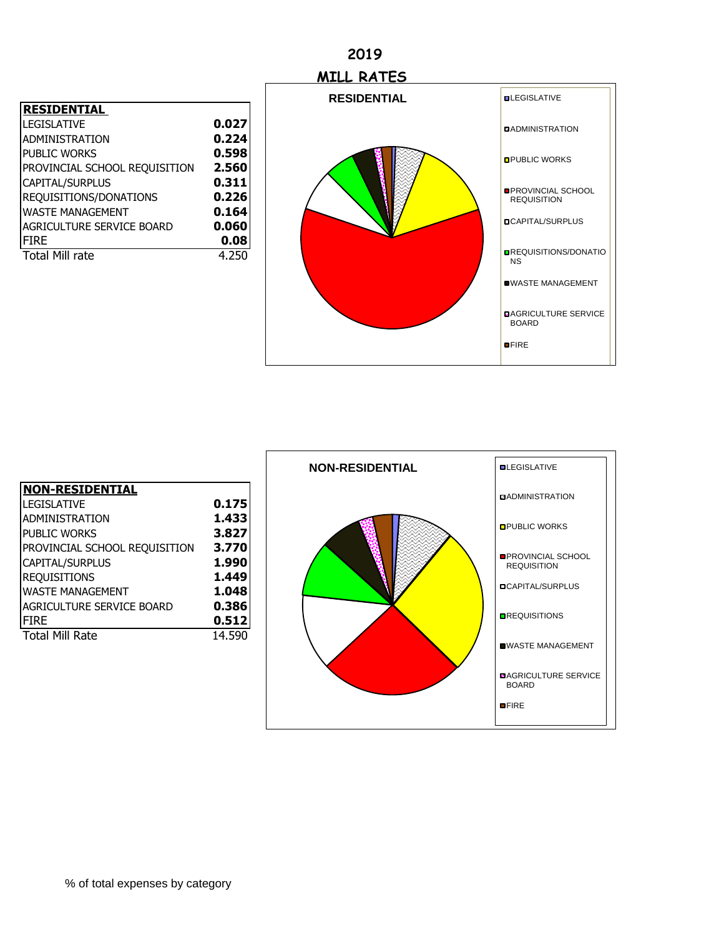### **2019**

| <b>RESIDENTIAL</b>            |       |
|-------------------------------|-------|
| <b>LEGISLATIVE</b>            | 0.027 |
| ADMINISTRATION                | 0.224 |
| <b>PUBLIC WORKS</b>           | 0.598 |
| PROVINCIAL SCHOOL REQUISITION | 2.560 |
| CAPITAL/SURPLUS               | 0.311 |
| REQUISITIONS/DONATIONS        | 0.226 |
| <b>WASTE MANAGEMENT</b>       | 0.164 |
| AGRICULTURE SERVICE BOARD     | 0.060 |
| <b>FIRE</b>                   | 0.08  |
| <b>Total Mill rate</b>        | 4.250 |



| <u> NON-RESIDENTIAL</u>       |        |
|-------------------------------|--------|
| <b>LEGISLATIVE</b>            | 0.175  |
| ADMINISTRATION                | 1.433  |
| <b>PUBLIC WORKS</b>           | 3.827  |
| PROVINCIAL SCHOOL REQUISITION | 3.770  |
| CAPITAL/SURPLUS               | 1.990  |
| <b>REQUISITIONS</b>           | 1.449  |
| <b>WASTE MANAGEMENT</b>       | 1.048  |
| AGRICULTURE SERVICE BOARD     | 0.386  |
| Ifire                         | 0.512  |
| <b>Total Mill Rate</b>        | 14.590 |

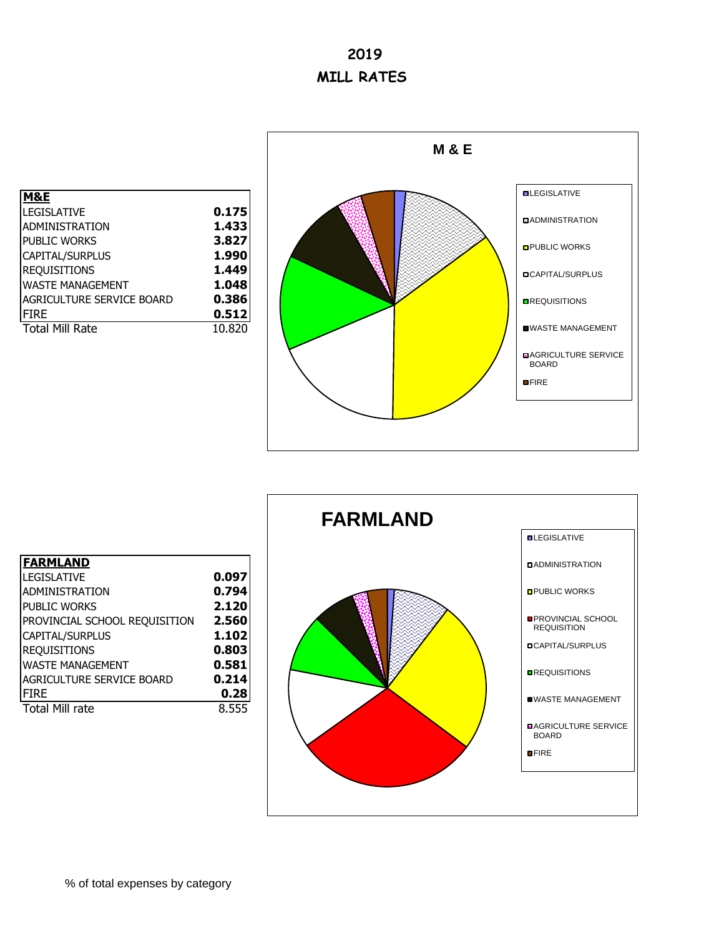# **2019 MILL RATES**

| 1&E                       |        |
|---------------------------|--------|
| LEGISLATIVE               | 0.175  |
| ADMINISTRATION            | 1.433  |
| PUBLIC WORKS              | 3.827  |
| CAPITAL/SURPLUS           | 1.990  |
| <b>REQUISITIONS</b>       | 1.449  |
| <b>WASTE MANAGEMENT</b>   | 1.048  |
| AGRICULTURE SERVICE BOARD | 0.386  |
| FIRE                      | 0.512  |
| <b>Total Mill Rate</b>    | 10.820 |
|                           |        |



|                               |       | <b>FARMLAND</b> |                                                 |
|-------------------------------|-------|-----------------|-------------------------------------------------|
|                               |       |                 | <b>QLEGISLATIVE</b>                             |
| <b>FARMLAND</b>               |       |                 | <b>DADMINISTRATION</b>                          |
| <b>LEGISLATIVE</b>            | 0.097 |                 |                                                 |
| <b>ADMINISTRATION</b>         | 0.794 |                 | <b>OPUBLIC WORKS</b>                            |
| <b>PUBLIC WORKS</b>           | 2.120 |                 |                                                 |
| PROVINCIAL SCHOOL REQUISITION | 2.560 |                 | <b>OPROVINCIAL SCHOOL</b><br><b>REQUISITION</b> |
| CAPITAL/SURPLUS               | 1.102 |                 |                                                 |
| <b>REQUISITIONS</b>           | 0.803 |                 | <b>OCAPITAL/SURPLUS</b>                         |
| <b>WASTE MANAGEMENT</b>       | 0.581 |                 |                                                 |
| AGRICULTURE SERVICE BOARD     | 0.214 |                 | <b>OREQUISITIONS</b>                            |
| <b>FIRE</b>                   | 0.28  |                 | <b>UWASTE MANAGEMENT</b>                        |
| <b>Total Mill rate</b>        | 8.555 |                 |                                                 |
|                               |       |                 | <b>DAGRICULTURE SERVICE</b><br><b>BOARD</b>     |
|                               |       |                 | <b>OFIRE</b>                                    |
|                               |       |                 |                                                 |
|                               |       |                 |                                                 |

 $\overline{\phantom{a}}$ 

#### **FARMLAND** LEGISLATIVE ADMINISTRATION **0.794**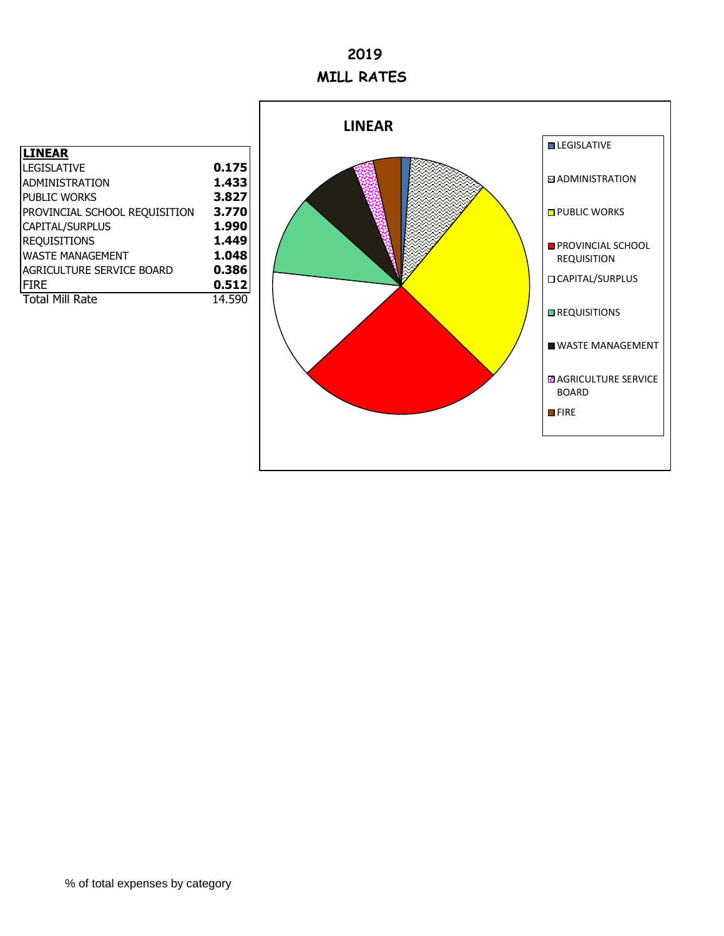# **2019 MILL RATES**

| LINEAR                        |        |
|-------------------------------|--------|
| <b>LEGISLATIVE</b>            | 0.175  |
| ADMINISTRATION                | 1.433  |
| <b>PUBLIC WORKS</b>           | 3.827  |
| PROVINCIAL SCHOOL REQUISITION | 3.770  |
| CAPITAL/SURPLUS               | 1.990  |
| <b>REQUISITIONS</b>           | 1.449  |
| <b>WASTE MANAGEMENT</b>       | 1.048  |
| AGRICULTURE SERVICE BOARD     | 0.386  |
| <b>FIRE</b>                   | 0.512  |
| <b>Total Mill Rate</b>        | 14.590 |
|                               |        |

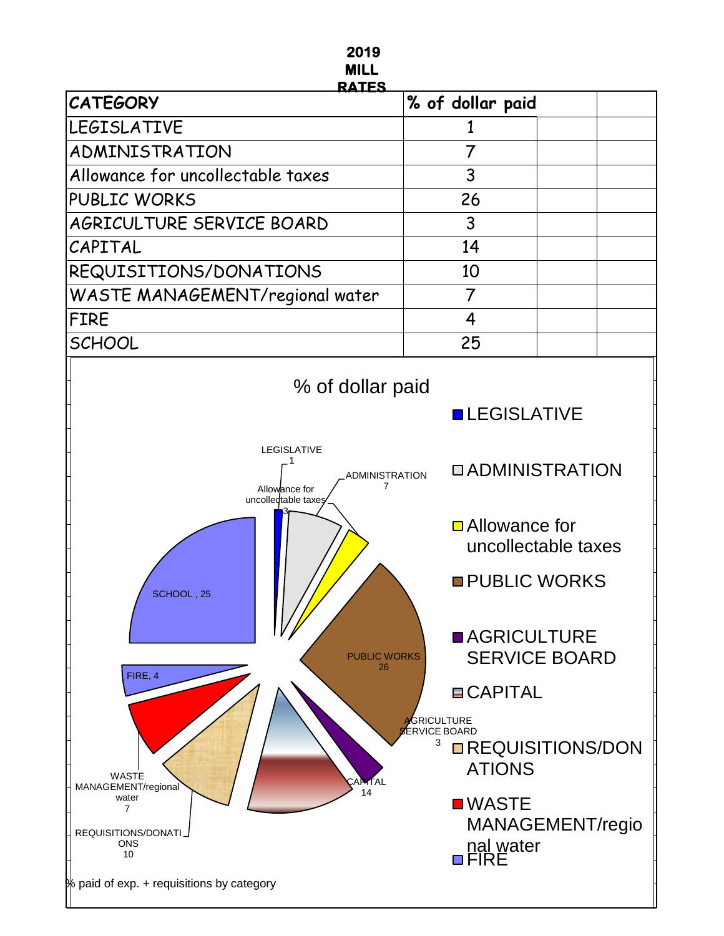### **2019 MILL**

| <b>RATES</b>                           |                  |  |  |  |
|----------------------------------------|------------------|--|--|--|
| <b>CATEGORY</b>                        | % of dollar paid |  |  |  |
| <b>LEGISLATIVE</b>                     |                  |  |  |  |
| ADMINISTRATION                         |                  |  |  |  |
| Allowance for uncollectable taxes      | 3                |  |  |  |
| <b>PUBLIC WORKS</b>                    | 26               |  |  |  |
| AGRICULTURE SERVICE BOARD              | 3                |  |  |  |
| CAPITAL                                | 14               |  |  |  |
| REQUISITIONS/DONATIONS                 | 10               |  |  |  |
| <b>WASTE MANAGEMENT/regional water</b> |                  |  |  |  |
| FIRE                                   |                  |  |  |  |
| <b>SCHOOL</b>                          | 25               |  |  |  |

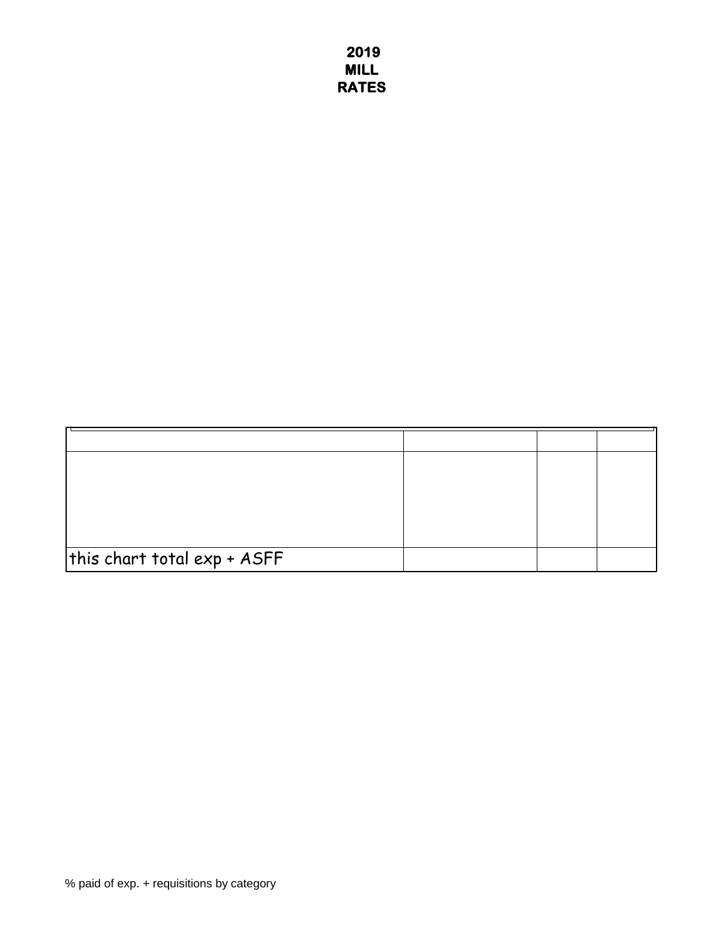**2019 MILL RATES**

| this chart total $\mathsf{exp}\, {\color{red} {\star}}\, \mathsf{ASFF}$ |  |  |
|-------------------------------------------------------------------------|--|--|
|                                                                         |  |  |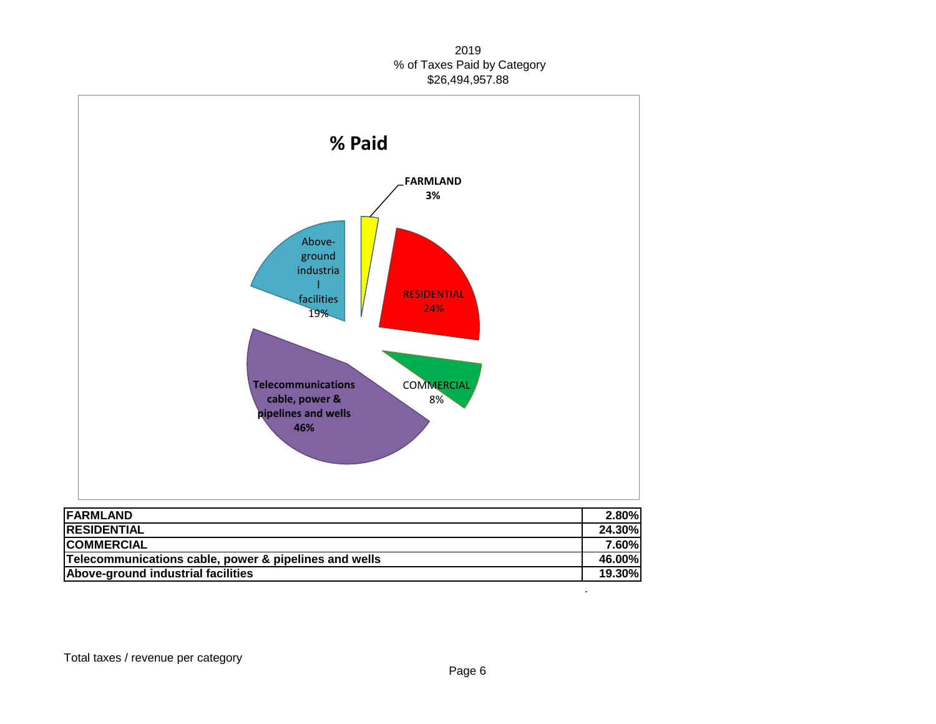#### 2019 % of Taxes Paid by Category \$26,494,957.88